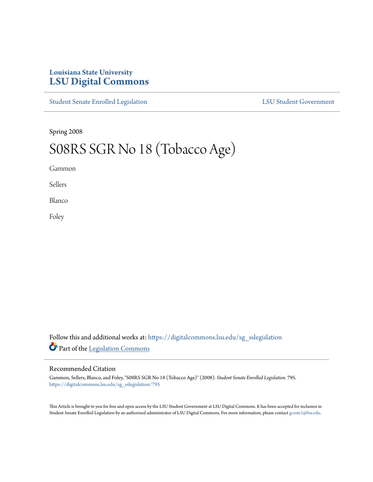## **Louisiana State University [LSU Digital Commons](https://digitalcommons.lsu.edu?utm_source=digitalcommons.lsu.edu%2Fsg_sslegislation%2F795&utm_medium=PDF&utm_campaign=PDFCoverPages)**

[Student Senate Enrolled Legislation](https://digitalcommons.lsu.edu/sg_sslegislation?utm_source=digitalcommons.lsu.edu%2Fsg_sslegislation%2F795&utm_medium=PDF&utm_campaign=PDFCoverPages) [LSU Student Government](https://digitalcommons.lsu.edu/sg?utm_source=digitalcommons.lsu.edu%2Fsg_sslegislation%2F795&utm_medium=PDF&utm_campaign=PDFCoverPages)

Spring 2008

## S08RS SGR No 18 (Tobacco Age)

Gammon

Sellers

Blanco

Foley

Follow this and additional works at: [https://digitalcommons.lsu.edu/sg\\_sslegislation](https://digitalcommons.lsu.edu/sg_sslegislation?utm_source=digitalcommons.lsu.edu%2Fsg_sslegislation%2F795&utm_medium=PDF&utm_campaign=PDFCoverPages) Part of the [Legislation Commons](http://network.bepress.com/hgg/discipline/859?utm_source=digitalcommons.lsu.edu%2Fsg_sslegislation%2F795&utm_medium=PDF&utm_campaign=PDFCoverPages)

## Recommended Citation

Gammon, Sellers, Blanco, and Foley, "S08RS SGR No 18 (Tobacco Age)" (2008). *Student Senate Enrolled Legislation*. 795. [https://digitalcommons.lsu.edu/sg\\_sslegislation/795](https://digitalcommons.lsu.edu/sg_sslegislation/795?utm_source=digitalcommons.lsu.edu%2Fsg_sslegislation%2F795&utm_medium=PDF&utm_campaign=PDFCoverPages)

This Article is brought to you for free and open access by the LSU Student Government at LSU Digital Commons. It has been accepted for inclusion in Student Senate Enrolled Legislation by an authorized administrator of LSU Digital Commons. For more information, please contact [gcoste1@lsu.edu.](mailto:gcoste1@lsu.edu)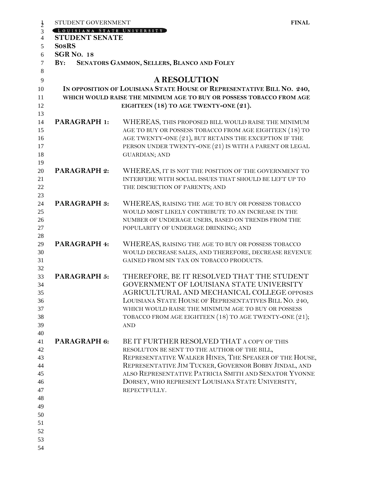| STUDENT GOVERNMENT         | <b>FINAL</b>                                                                               |
|----------------------------|--------------------------------------------------------------------------------------------|
| LOUISIANA STATE UNIVERSITY |                                                                                            |
| <b>STUDENT SENATE</b>      |                                                                                            |
| <b>SosRS</b>               |                                                                                            |
| <b>SGR No. 18</b>          |                                                                                            |
| $\mathbf{B} \mathbf{Y}$ :  | SENATORS GAMMON, SELLERS, BLANCO AND FOLEY                                                 |
|                            | <b>A RESOLUTION</b>                                                                        |
|                            | IN OPPOSITION OF LOUISIANA STATE HOUSE OF REPRESENTATIVE BILL NO. 240,                     |
|                            | WHICH WOULD RAISE THE MINIMUM AGE TO BUY OR POSSESS TOBACCO FROM AGE                       |
|                            | EIGHTEEN (18) TO AGE TWENTY-ONE (21).                                                      |
|                            |                                                                                            |
| PARAGRAPH 1:               | WHEREAS, THIS PROPOSED BILL WOULD RAISE THE MINIMUM                                        |
|                            | AGE TO BUY OR POSSESS TOBACCO FROM AGE EIGHTEEN (18) TO                                    |
|                            | AGE TWENTY-ONE (21), BUT RETAINS THE EXCEPTION IF THE                                      |
|                            | PERSON UNDER TWENTY-ONE (21) IS WITH A PARENT OR LEGAL                                     |
|                            | <b>GUARDIAN; AND</b>                                                                       |
|                            |                                                                                            |
| <b>PARAGRAPH 2:</b>        | WHEREAS, IT IS NOT THE POSITION OF THE GOVERNMENT TO                                       |
|                            | INTERFERE WITH SOCIAL ISSUES THAT SHOULD BE LEFT UP TO                                     |
|                            | THE DISCRETION OF PARENTS; AND                                                             |
|                            |                                                                                            |
| <b>PARAGRAPH 3:</b>        | WHEREAS, RAISING THE AGE TO BUY OR POSSESS TOBACCO                                         |
|                            | WOULD MOST LIKELY CONTRIBUTE TO AN INCREASE IN THE                                         |
|                            | NUMBER OF UNDERAGE USERS, BASED ON TRENDS FROM THE<br>POPULARITY OF UNDERAGE DRINKING; AND |
|                            |                                                                                            |
| PARAGRAPH 4:               | WHEREAS, RAISING THE AGE TO BUY OR POSSESS TOBACCO                                         |
|                            | WOULD DECREASE SALES, AND THEREFORE, DECREASE REVENUE                                      |
|                            | GAINED FROM SIN TAX ON TOBACCO PRODUCTS.                                                   |
|                            |                                                                                            |
| <b>PARAGRAPH 5:</b>        | THEREFORE, BE IT RESOLVED THAT THE STUDENT                                                 |
|                            | GOVERNMENT OF LOUISIANA STATE UNIVERSITY                                                   |
|                            | AGRICULTURAL AND MECHANICAL COLLEGE OPPOSES                                                |
|                            | LOUISIANA STATE HOUSE OF REPRESENTATIVES BILL NO. 240,                                     |
|                            | WHICH WOULD RAISE THE MINIMUM AGE TO BUY OR POSSESS                                        |
|                            | TOBACCO FROM AGE EIGHTEEN (18) TO AGE TWENTY-ONE (21);                                     |
|                            | <b>AND</b>                                                                                 |
| PARAGRAPH 6:               | BE IT FURTHER RESOLVED THAT A COPY OF THIS                                                 |
|                            | RESOLUTON BE SENT TO THE AUTHOR OF THE BILL,                                               |
|                            | REPRESENTATIVE WALKER HINES, THE SPEAKER OF THE HOUSE,                                     |
|                            | REPRESENTATIVE JIM TUCKER, GOVERNOR BOBBY JINDAL, AND                                      |
|                            | ALSO REPRESENTATIVE PATRICIA SMITH AND SENATOR YVONNE                                      |
|                            | DORSEY, WHO REPRESENT LOUISIANA STATE UNIVERSITY,                                          |
|                            | REPECTFULLY.                                                                               |
|                            |                                                                                            |
|                            |                                                                                            |
|                            |                                                                                            |
|                            |                                                                                            |
|                            |                                                                                            |
|                            |                                                                                            |
|                            |                                                                                            |